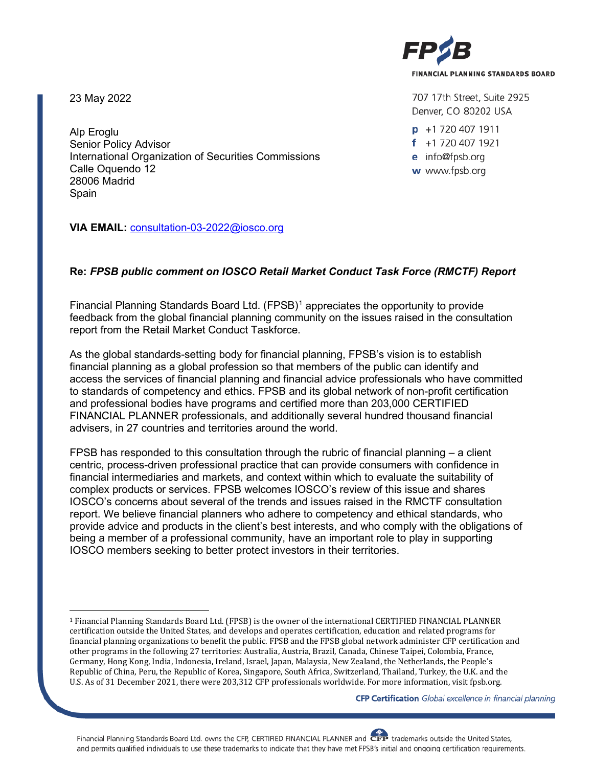23 May 2022

Alp Eroglu Senior Policy Advisor International Organization of Securities Commissions Calle Oquendo 12 28006 Madrid **Spain** 

**VIA EMAIL:** [consultation-03-2022@iosco.org](mailto:consultation-03-2022@iosco.org)

## **Re:** *FPSB public comment on IOSCO Retail Market Conduct Task Force (RMCTF) Report*

Financial Planning Standards Board Ltd. (FPSB)<sup>[1](#page-0-0)</sup> appreciates the opportunity to provide feedback from the global financial planning community on the issues raised in the consultation report from the Retail Market Conduct Taskforce.

As the global standards-setting body for financial planning, FPSB's vision is to establish financial planning as a global profession so that members of the public can identify and access the services of financial planning and financial advice professionals who have committed to standards of competency and ethics. FPSB and its global network of non-profit certification and professional bodies have programs and certified more than 203,000 CERTIFIED FINANCIAL PLANNER professionals, and additionally several hundred thousand financial advisers, in 27 countries and territories around the world.

FPSB has responded to this consultation through the rubric of financial planning – a client centric, process-driven professional practice that can provide consumers with confidence in financial intermediaries and markets, and context within which to evaluate the suitability of complex products or services. FPSB welcomes IOSCO's review of this issue and shares IOSCO's concerns about several of the trends and issues raised in the RMCTF consultation report. We believe financial planners who adhere to competency and ethical standards, who provide advice and products in the client's best interests, and who comply with the obligations of being a member of a professional community, have an important role to play in supporting IOSCO members seeking to better protect investors in their territories.

CFP Certification Global excellence in financial planning





707 17th Street, Suite 2925 Denver, CO 80202 USA

 $p + 17204071911$  $f$  +1 720 407 1921 e info@fpsb.org w www.fpsb.org

<span id="page-0-0"></span><sup>1</sup> Financial Planning Standards Board Ltd. (FPSB) is the owner of the international CERTIFIED FINANCIAL PLANNER certification outside the United States, and develops and operates certification, education and related programs for financial planning organizations to benefit the public. FPSB and the FPSB global network administer CFP certification and other programs in the following 27 territories: Australia, Austria, Brazil, Canada, Chinese Taipei, Colombia, France, Germany, Hong Kong, India, Indonesia, Ireland, Israel, Japan, Malaysia, New Zealand, the Netherlands, the People's Republic of China, Peru, the Republic of Korea, Singapore, South Africa, Switzerland, Thailand, Turkey, the U.K. and the U.S. As of 31 December 2021, there were 203,312 CFP professionals worldwide. For more information, visit fpsb.org.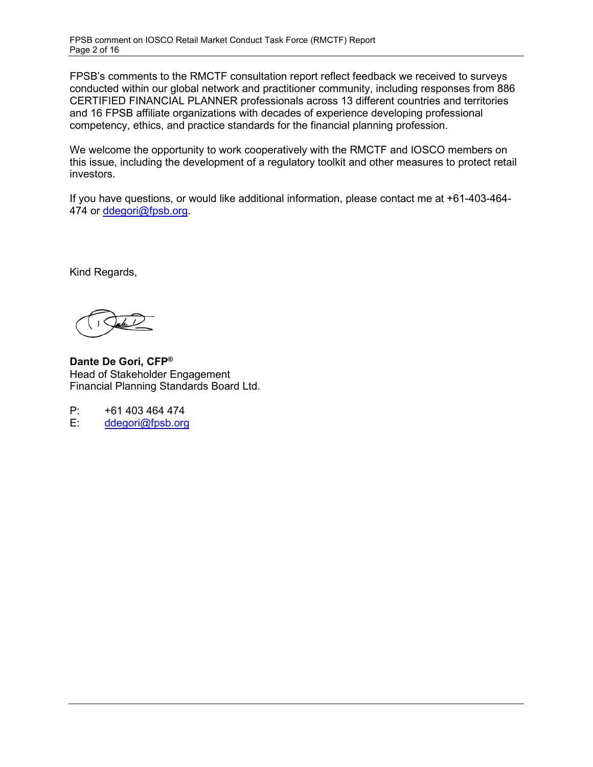FPSB's comments to the RMCTF consultation report reflect feedback we received to surveys conducted within our global network and practitioner community, including responses from 886 CERTIFIED FINANCIAL PLANNER professionals across 13 different countries and territories and 16 FPSB affiliate organizations with decades of experience developing professional competency, ethics, and practice standards for the financial planning profession.

We welcome the opportunity to work cooperatively with the RMCTF and IOSCO members on this issue, including the development of a regulatory toolkit and other measures to protect retail investors.

If you have questions, or would like additional information, please contact me at +61-403-464 474 or [ddegori@fpsb.org.](mailto:ddegori@fpsb.org)

Kind Regards,

**Dante De Gori, CFP®** Head of Stakeholder Engagement Financial Planning Standards Board Ltd.

P: +61 403 464 474<br>E: ddegori@fpsb.org

[ddegori@fpsb.org](mailto:ddegori@fpsb.org)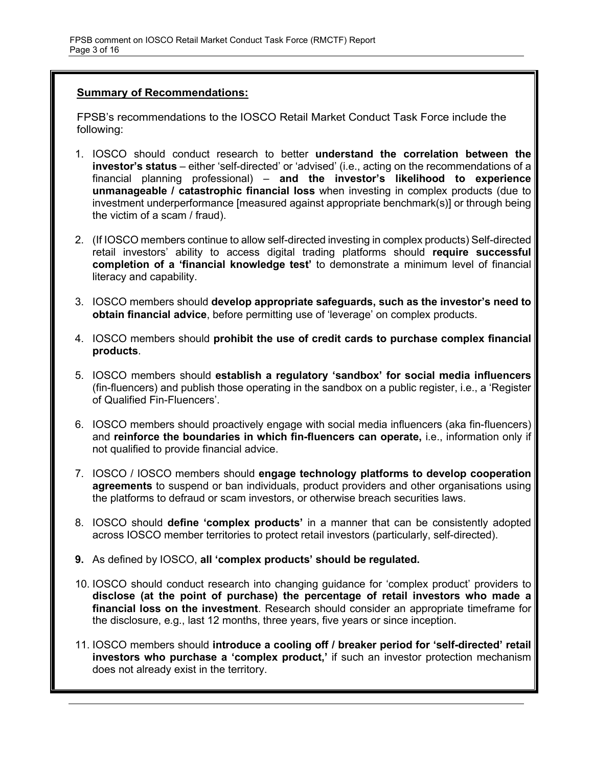#### **Summary of Recommendations:**

FPSB's recommendations to the IOSCO Retail Market Conduct Task Force include the following:

- 1. IOSCO should conduct research to better **understand the correlation between the investor's status** – either 'self-directed' or 'advised' (i.e., acting on the recommendations of a financial planning professional) – **and the investor's likelihood to experience unmanageable / catastrophic financial loss** when investing in complex products (due to investment underperformance [measured against appropriate benchmark(s)] or through being the victim of a scam / fraud).
- 2. (If IOSCO members continue to allow self-directed investing in complex products) Self-directed retail investors' ability to access digital trading platforms should **require successful completion of a 'financial knowledge test'** to demonstrate a minimum level of financial literacy and capability.
- 3. IOSCO members should **develop appropriate safeguards, such as the investor's need to obtain financial advice**, before permitting use of 'leverage' on complex products.
- 4. IOSCO members should **prohibit the use of credit cards to purchase complex financial products**.
- 5. IOSCO members should **establish a regulatory 'sandbox' for social media influencers** (fin-fluencers) and publish those operating in the sandbox on a public register, i.e., a 'Register of Qualified Fin-Fluencers'.
- 6. IOSCO members should proactively engage with social media influencers (aka fin-fluencers) and **reinforce the boundaries in which fin-fluencers can operate,** i.e., information only if not qualified to provide financial advice.
- 7. IOSCO / IOSCO members should **engage technology platforms to develop cooperation agreements** to suspend or ban individuals, product providers and other organisations using the platforms to defraud or scam investors, or otherwise breach securities laws.
- 8. IOSCO should **define 'complex products'** in a manner that can be consistently adopted across IOSCO member territories to protect retail investors (particularly, self-directed).
- **9.** As defined by IOSCO, **all 'complex products' should be regulated.**
- 10. IOSCO should conduct research into changing guidance for 'complex product' providers to **disclose (at the point of purchase) the percentage of retail investors who made a financial loss on the investment**. Research should consider an appropriate timeframe for the disclosure, e.g., last 12 months, three years, five years or since inception.
- 11. IOSCO members should **introduce a cooling off / breaker period for 'self-directed' retail investors who purchase a 'complex product,'** if such an investor protection mechanism does not already exist in the territory.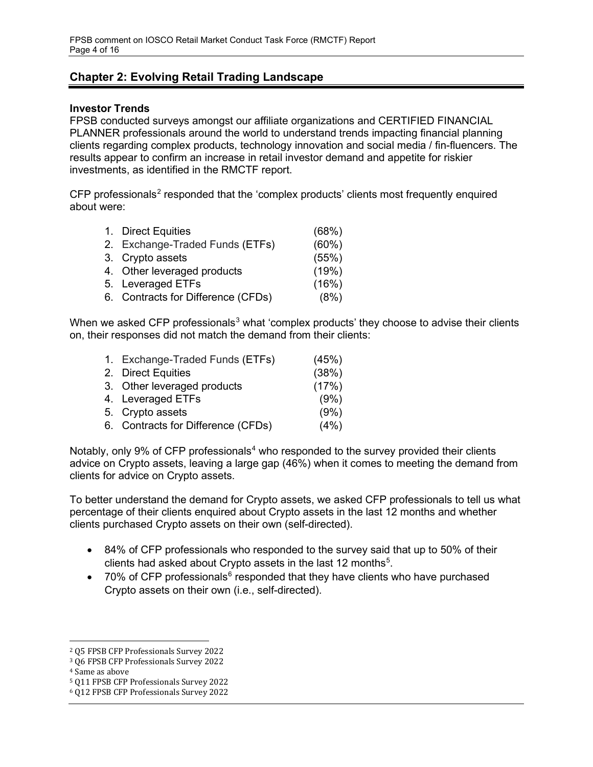# **Chapter 2: Evolving Retail Trading Landscape**

#### **Investor Trends**

FPSB conducted surveys amongst our affiliate organizations and CERTIFIED FINANCIAL PLANNER professionals around the world to understand trends impacting financial planning clients regarding complex products, technology innovation and social media / fin-fluencers. The results appear to confirm an increase in retail investor demand and appetite for riskier investments, as identified in the RMCTF report.

CFP professionals<sup>[2](#page-3-0)</sup> responded that the 'complex products' clients most frequently enquired about were:

| 1. Direct Equities                 | (68%) |
|------------------------------------|-------|
| 2. Exchange-Traded Funds (ETFs)    | (60%) |
| 3. Crypto assets                   | (55%) |
| 4. Other leveraged products        | (19%) |
| 5. Leveraged ETFs                  | (16%) |
| 6. Contracts for Difference (CFDs) | (8%)  |
|                                    |       |

When we asked CFP professionals<sup>[3](#page-3-1)</sup> what 'complex products' they choose to advise their clients on, their responses did not match the demand from their clients:

| 1. Exchange-Traded Funds (ETFs)    | (45%) |
|------------------------------------|-------|
| 2. Direct Equities                 | (38%) |
| 3. Other leveraged products        | (17%) |
| 4. Leveraged ETFs                  | (9%)  |
| 5. Crypto assets                   | (9%)  |
| 6. Contracts for Difference (CFDs) | (4%)  |

Notably, only 9% of CFP professionals<sup>[4](#page-3-2)</sup> who responded to the survey provided their clients advice on Crypto assets, leaving a large gap (46%) when it comes to meeting the demand from clients for advice on Crypto assets.

To better understand the demand for Crypto assets, we asked CFP professionals to tell us what percentage of their clients enquired about Crypto assets in the last 12 months and whether clients purchased Crypto assets on their own (self-directed).

- 84% of CFP professionals who responded to the survey said that up to 50% of their clients had asked about Crypto assets in the last 12 months<sup>[5](#page-3-3)</sup>.
- 70% of CFP professionals $6$  responded that they have clients who have purchased Crypto assets on their own (i.e., self-directed).

<span id="page-3-0"></span><sup>2</sup> Q5 FPSB CFP Professionals Survey 2022

<span id="page-3-1"></span><sup>3</sup> Q6 FPSB CFP Professionals Survey 2022

<span id="page-3-2"></span><sup>4</sup> Same as above

<span id="page-3-3"></span><sup>5</sup> Q11 FPSB CFP Professionals Survey 2022

<span id="page-3-4"></span><sup>6</sup> Q12 FPSB CFP Professionals Survey 2022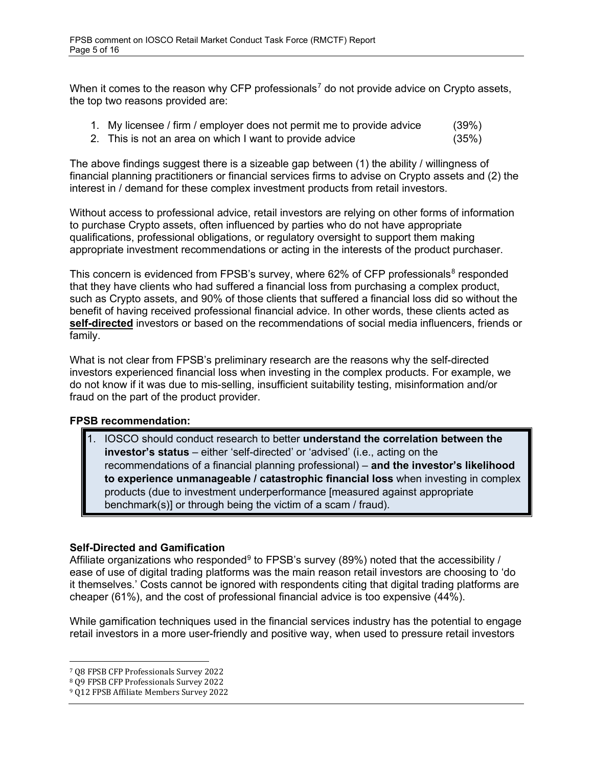When it comes to the reason why CFP professionals<sup>[7](#page-4-0)</sup> do not provide advice on Crypto assets, the top two reasons provided are:

- 1. My licensee / firm / employer does not permit me to provide advice (39%)
- 2. This is not an area on which I want to provide advice (35%)

The above findings suggest there is a sizeable gap between (1) the ability / willingness of financial planning practitioners or financial services firms to advise on Crypto assets and (2) the interest in / demand for these complex investment products from retail investors.

Without access to professional advice, retail investors are relying on other forms of information to purchase Crypto assets, often influenced by parties who do not have appropriate qualifications, professional obligations, or regulatory oversight to support them making appropriate investment recommendations or acting in the interests of the product purchaser.

This concern is evidenced from FPSB's survey, where 62% of CFP professionals<sup>[8](#page-4-1)</sup> responded that they have clients who had suffered a financial loss from purchasing a complex product, such as Crypto assets, and 90% of those clients that suffered a financial loss did so without the benefit of having received professional financial advice. In other words, these clients acted as **self-directed** investors or based on the recommendations of social media influencers, friends or family.

What is not clear from FPSB's preliminary research are the reasons why the self-directed investors experienced financial loss when investing in the complex products. For example, we do not know if it was due to mis-selling, insufficient suitability testing, misinformation and/or fraud on the part of the product provider.

#### **FPSB recommendation:**

1. IOSCO should conduct research to better **understand the correlation between the investor's status** – either 'self-directed' or 'advised' (i.e., acting on the recommendations of a financial planning professional) – **and the investor's likelihood to experience unmanageable / catastrophic financial loss** when investing in complex products (due to investment underperformance [measured against appropriate benchmark(s)] or through being the victim of a scam / fraud).

## **Self-Directed and Gamification**

Affiliate organizations who responded<sup>[9](#page-4-2)</sup> to FPSB's survey (89%) noted that the accessibility / ease of use of digital trading platforms was the main reason retail investors are choosing to 'do it themselves.' Costs cannot be ignored with respondents citing that digital trading platforms are cheaper (61%), and the cost of professional financial advice is too expensive (44%).

While gamification techniques used in the financial services industry has the potential to engage retail investors in a more user-friendly and positive way, when used to pressure retail investors

<span id="page-4-0"></span><sup>7</sup> Q8 FPSB CFP Professionals Survey 2022

<span id="page-4-1"></span><sup>8</sup> Q9 FPSB CFP Professionals Survey 2022

<span id="page-4-2"></span><sup>9</sup> Q12 FPSB Affiliate Members Survey 2022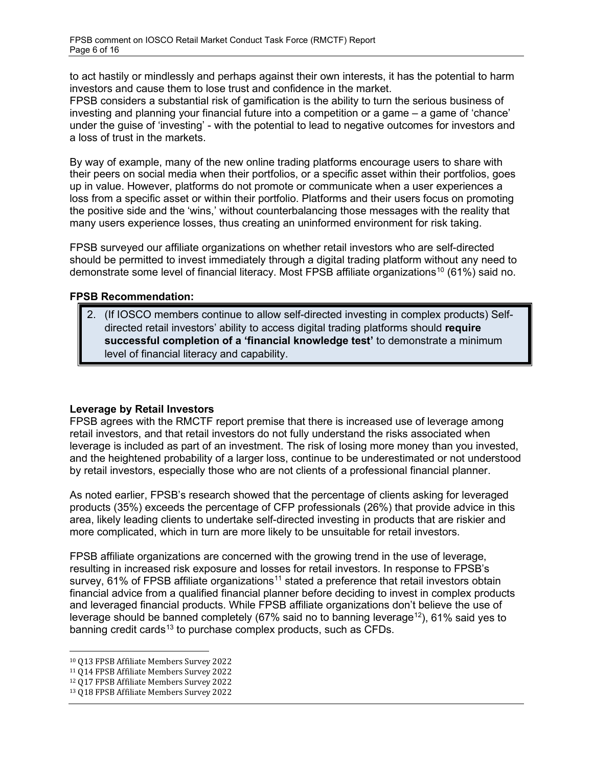to act hastily or mindlessly and perhaps against their own interests, it has the potential to harm investors and cause them to lose trust and confidence in the market.

FPSB considers a substantial risk of gamification is the ability to turn the serious business of investing and planning your financial future into a competition or a game – a game of 'chance' under the guise of 'investing' - with the potential to lead to negative outcomes for investors and a loss of trust in the markets.

By way of example, many of the new online trading platforms encourage users to share with their peers on social media when their portfolios, or a specific asset within their portfolios, goes up in value. However, platforms do not promote or communicate when a user experiences a loss from a specific asset or within their portfolio. Platforms and their users focus on promoting the positive side and the 'wins,' without counterbalancing those messages with the reality that many users experience losses, thus creating an uninformed environment for risk taking.

FPSB surveyed our affiliate organizations on whether retail investors who are self-directed should be permitted to invest immediately through a digital trading platform without any need to demonstrate some level of financial literacy. Most FPSB affiliate organizations<sup>[10](#page-5-0)</sup> (61%) said no.

## **FPSB Recommendation:**

2. (If IOSCO members continue to allow self-directed investing in complex products) Selfdirected retail investors' ability to access digital trading platforms should **require successful completion of a 'financial knowledge test'** to demonstrate a minimum level of financial literacy and capability.

## **Leverage by Retail Investors**

FPSB agrees with the RMCTF report premise that there is increased use of leverage among retail investors, and that retail investors do not fully understand the risks associated when leverage is included as part of an investment. The risk of losing more money than you invested, and the heightened probability of a larger loss, continue to be underestimated or not understood by retail investors, especially those who are not clients of a professional financial planner.

As noted earlier, FPSB's research showed that the percentage of clients asking for leveraged products (35%) exceeds the percentage of CFP professionals (26%) that provide advice in this area, likely leading clients to undertake self-directed investing in products that are riskier and more complicated, which in turn are more likely to be unsuitable for retail investors.

FPSB affiliate organizations are concerned with the growing trend in the use of leverage, resulting in increased risk exposure and losses for retail investors. In response to FPSB's survey,  $61\%$  of FPSB affiliate organizations<sup>11</sup> stated a preference that retail investors obtain financial advice from a qualified financial planner before deciding to invest in complex products and leveraged financial products. While FPSB affiliate organizations don't believe the use of leverage should be banned completely (67% said no to banning leverage<sup>[12](#page-5-2)</sup>), 61% said yes to banning credit cards<sup>[13](#page-5-3)</sup> to purchase complex products, such as CFDs.

<span id="page-5-0"></span><sup>10</sup> Q13 FPSB Affiliate Members Survey 2022

<span id="page-5-1"></span><sup>11</sup> Q14 FPSB Affiliate Members Survey 2022

<span id="page-5-2"></span><sup>12</sup> Q17 FPSB Affiliate Members Survey 2022

<span id="page-5-3"></span><sup>13</sup> Q18 FPSB Affiliate Members Survey 2022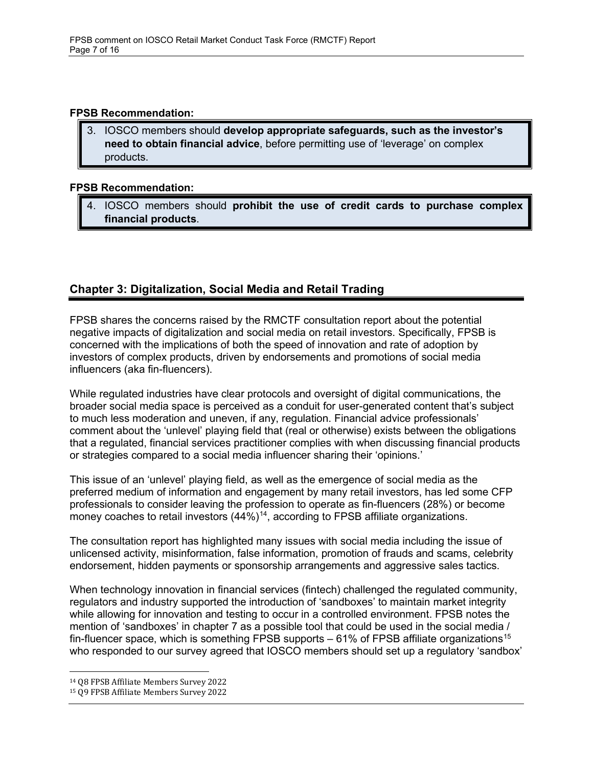#### **FPSB Recommendation:**

3. IOSCO members should **develop appropriate safeguards, such as the investor's need to obtain financial advice**, before permitting use of 'leverage' on complex products.

#### **FPSB Recommendation:**

4. IOSCO members should **prohibit the use of credit cards to purchase complex financial products**.

# **Chapter 3: Digitalization, Social Media and Retail Trading**

FPSB shares the concerns raised by the RMCTF consultation report about the potential negative impacts of digitalization and social media on retail investors. Specifically, FPSB is concerned with the implications of both the speed of innovation and rate of adoption by investors of complex products, driven by endorsements and promotions of social media influencers (aka fin-fluencers).

While regulated industries have clear protocols and oversight of digital communications, the broader social media space is perceived as a conduit for user-generated content that's subject to much less moderation and uneven, if any, regulation. Financial advice professionals' comment about the 'unlevel' playing field that (real or otherwise) exists between the obligations that a regulated, financial services practitioner complies with when discussing financial products or strategies compared to a social media influencer sharing their 'opinions.'

This issue of an 'unlevel' playing field, as well as the emergence of social media as the preferred medium of information and engagement by many retail investors, has led some CFP professionals to consider leaving the profession to operate as fin-fluencers (28%) or become money coaches to retail investors  $(44%)$ <sup>14</sup>, according to FPSB affiliate organizations.

The consultation report has highlighted many issues with social media including the issue of unlicensed activity, misinformation, false information, promotion of frauds and scams, celebrity endorsement, hidden payments or sponsorship arrangements and aggressive sales tactics.

When technology innovation in financial services (fintech) challenged the regulated community, regulators and industry supported the introduction of 'sandboxes' to maintain market integrity while allowing for innovation and testing to occur in a controlled environment. FPSB notes the mention of 'sandboxes' in chapter 7 as a possible tool that could be used in the social media / fin-fluencer space, which is something FPSB supports  $-61\%$  of FPSB affiliate organizations<sup>[15](#page-6-1)</sup> who responded to our survey agreed that IOSCO members should set up a regulatory 'sandbox'

<span id="page-6-0"></span><sup>14</sup> Q8 FPSB Affiliate Members Survey 2022

<span id="page-6-1"></span><sup>15</sup> Q9 FPSB Affiliate Members Survey 2022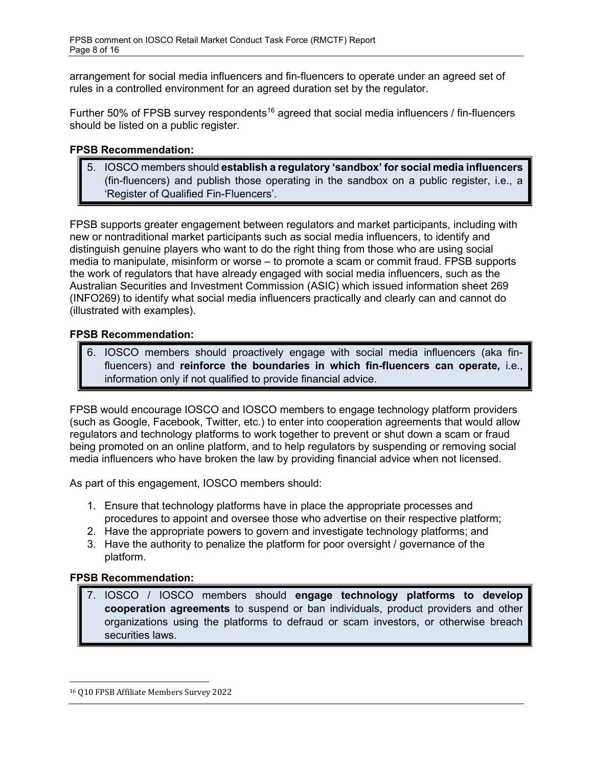arrangement for social media influencers and fin-fluencers to operate under an agreed set of rules in a controlled environment for an agreed duration set by the regulator.

Further 50% of FPSB survey respondents<sup>[16](#page-7-0)</sup> agreed that social media influencers / fin-fluencers should be listed on a public register.

#### **FPSB Recommendation:**

5. IOSCO members should **establish a regulatory 'sandbox' for social media influencers** (fin-fluencers) and publish those operating in the sandbox on a public register, i.e., a 'Register of Qualified Fin-Fluencers'.

FPSB supports greater engagement between regulators and market participants, including with new or nontraditional market participants such as social media influencers, to identify and distinguish genuine players who want to do the right thing from those who are using social media to manipulate, misinform or worse – to promote a scam or commit fraud. FPSB supports the work of regulators that have already engaged with social media influencers, such as the Australian Securities and Investment Commission (ASIC) which issued information sheet 269 (INFO269) to identify what social media influencers practically and clearly can and cannot do (illustrated with examples).

## **FPSB Recommendation:**

6. IOSCO members should proactively engage with social media influencers (aka finfluencers) and **reinforce the boundaries in which fin-fluencers can operate,** i.e., information only if not qualified to provide financial advice.

FPSB would encourage IOSCO and IOSCO members to engage technology platform providers (such as Google, Facebook, Twitter, etc.) to enter into cooperation agreements that would allow regulators and technology platforms to work together to prevent or shut down a scam or fraud being promoted on an online platform, and to help regulators by suspending or removing social media influencers who have broken the law by providing financial advice when not licensed.

As part of this engagement, IOSCO members should:

- 1. Ensure that technology platforms have in place the appropriate processes and procedures to appoint and oversee those who advertise on their respective platform;
- 2. Have the appropriate powers to govern and investigate technology platforms; and
- 3. Have the authority to penalize the platform for poor oversight / governance of the platform.

## **FPSB Recommendation:**

7. IOSCO / IOSCO members should **engage technology platforms to develop cooperation agreements** to suspend or ban individuals, product providers and other organizations using the platforms to defraud or scam investors, or otherwise breach securities laws.

<span id="page-7-0"></span><sup>16</sup> Q10 FPSB Affiliate Members Survey 2022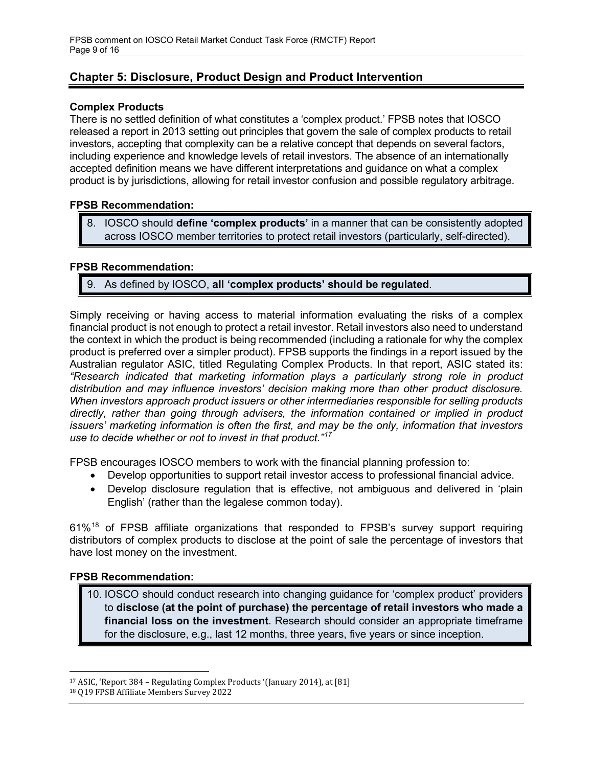# **Chapter 5: Disclosure, Product Design and Product Intervention**

## **Complex Products**

There is no settled definition of what constitutes a 'complex product.' FPSB notes that IOSCO released a report in 2013 setting out principles that govern the sale of complex products to retail investors, accepting that complexity can be a relative concept that depends on several factors, including experience and knowledge levels of retail investors. The absence of an internationally accepted definition means we have different interpretations and guidance on what a complex product is by jurisdictions, allowing for retail investor confusion and possible regulatory arbitrage.

#### **FPSB Recommendation:**

8. IOSCO should **define 'complex products'** in a manner that can be consistently adopted across IOSCO member territories to protect retail investors (particularly, self-directed).

#### **FPSB Recommendation:**

9. As defined by IOSCO, **all 'complex products' should be regulated**.

Simply receiving or having access to material information evaluating the risks of a complex financial product is not enough to protect a retail investor. Retail investors also need to understand the context in which the product is being recommended (including a rationale for why the complex product is preferred over a simpler product). FPSB supports the findings in a report issued by the Australian regulator ASIC, titled Regulating Complex Products. In that report, ASIC stated its: *"Research indicated that marketing information plays a particularly strong role in product distribution and may influence investors' decision making more than other product disclosure. When investors approach product issuers or other intermediaries responsible for selling products directly, rather than going through advisers, the information contained or implied in product issuers' marketing information is often the first, and may be the only, information that investors use to decide whether or not to invest in that product."[17](#page-8-0)*

FPSB encourages IOSCO members to work with the financial planning profession to:

- Develop opportunities to support retail investor access to professional financial advice.
- Develop disclosure regulation that is effective, not ambiguous and delivered in 'plain English' (rather than the legalese common today).

61%[18](#page-8-1) of FPSB affiliate organizations that responded to FPSB's survey support requiring distributors of complex products to disclose at the point of sale the percentage of investors that have lost money on the investment.

#### **FPSB Recommendation:**

10. IOSCO should conduct research into changing guidance for 'complex product' providers to **disclose (at the point of purchase) the percentage of retail investors who made a financial loss on the investment**. Research should consider an appropriate timeframe for the disclosure, e.g., last 12 months, three years, five years or since inception.

<span id="page-8-0"></span><sup>17</sup> ASIC, 'Report 384 – Regulating Complex Products '(January 2014), at [81]

<span id="page-8-1"></span><sup>18</sup> Q19 FPSB Affiliate Members Survey 2022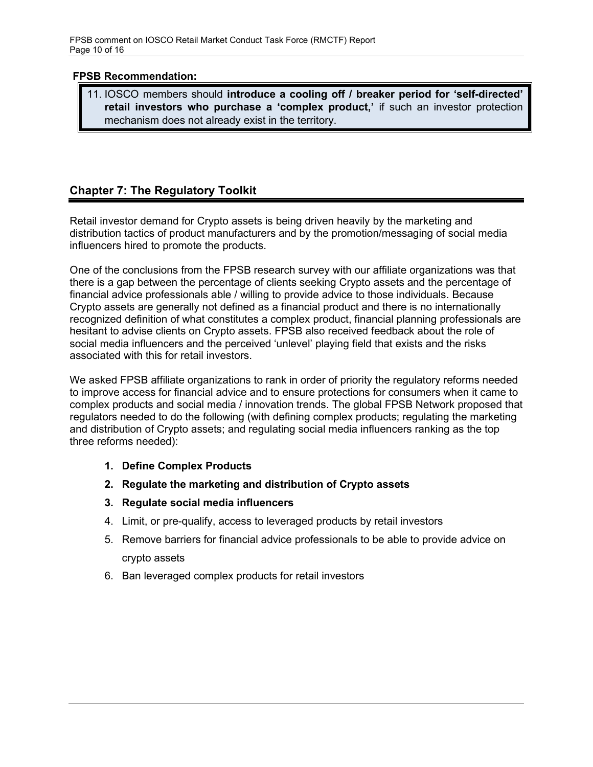#### **FPSB Recommendation:**

11. IOSCO members should **introduce a cooling off / breaker period for 'self-directed' retail investors who purchase a 'complex product,'** if such an investor protection mechanism does not already exist in the territory.

# **Chapter 7: The Regulatory Toolkit**

Retail investor demand for Crypto assets is being driven heavily by the marketing and distribution tactics of product manufacturers and by the promotion/messaging of social media influencers hired to promote the products.

One of the conclusions from the FPSB research survey with our affiliate organizations was that there is a gap between the percentage of clients seeking Crypto assets and the percentage of financial advice professionals able / willing to provide advice to those individuals. Because Crypto assets are generally not defined as a financial product and there is no internationally recognized definition of what constitutes a complex product, financial planning professionals are hesitant to advise clients on Crypto assets. FPSB also received feedback about the role of social media influencers and the perceived 'unlevel' playing field that exists and the risks associated with this for retail investors.

We asked FPSB affiliate organizations to rank in order of priority the regulatory reforms needed to improve access for financial advice and to ensure protections for consumers when it came to complex products and social media / innovation trends. The global FPSB Network proposed that regulators needed to do the following (with defining complex products; regulating the marketing and distribution of Crypto assets; and regulating social media influencers ranking as the top three reforms needed):

- **1. Define Complex Products**
- **2. Regulate the marketing and distribution of Crypto assets**
- **3. Regulate social media influencers**
- 4. Limit, or pre-qualify, access to leveraged products by retail investors
- 5. Remove barriers for financial advice professionals to be able to provide advice on crypto assets
- 6. Ban leveraged complex products for retail investors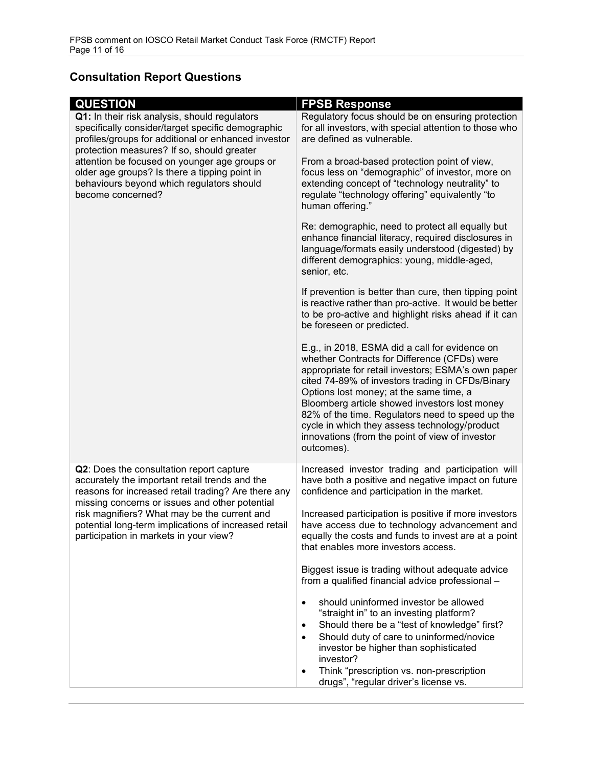# **Consultation Report Questions**

| <b>QUESTION</b>                                                                                                                                                                                                                                                                                                                                                             | <b>FPSB Response</b>                                                                                                                                                                                                                                                                                                                                                                                                                                                       |
|-----------------------------------------------------------------------------------------------------------------------------------------------------------------------------------------------------------------------------------------------------------------------------------------------------------------------------------------------------------------------------|----------------------------------------------------------------------------------------------------------------------------------------------------------------------------------------------------------------------------------------------------------------------------------------------------------------------------------------------------------------------------------------------------------------------------------------------------------------------------|
| Q1: In their risk analysis, should regulators<br>specifically consider/target specific demographic<br>profiles/groups for additional or enhanced investor<br>protection measures? If so, should greater<br>attention be focused on younger age groups or<br>older age groups? Is there a tipping point in<br>behaviours beyond which regulators should<br>become concerned? | Regulatory focus should be on ensuring protection<br>for all investors, with special attention to those who<br>are defined as vulnerable.                                                                                                                                                                                                                                                                                                                                  |
|                                                                                                                                                                                                                                                                                                                                                                             | From a broad-based protection point of view,<br>focus less on "demographic" of investor, more on<br>extending concept of "technology neutrality" to<br>regulate "technology offering" equivalently "to<br>human offering."                                                                                                                                                                                                                                                 |
|                                                                                                                                                                                                                                                                                                                                                                             | Re: demographic, need to protect all equally but<br>enhance financial literacy, required disclosures in<br>language/formats easily understood (digested) by<br>different demographics: young, middle-aged,<br>senior, etc.                                                                                                                                                                                                                                                 |
|                                                                                                                                                                                                                                                                                                                                                                             | If prevention is better than cure, then tipping point<br>is reactive rather than pro-active. It would be better<br>to be pro-active and highlight risks ahead if it can<br>be foreseen or predicted.                                                                                                                                                                                                                                                                       |
|                                                                                                                                                                                                                                                                                                                                                                             | E.g., in 2018, ESMA did a call for evidence on<br>whether Contracts for Difference (CFDs) were<br>appropriate for retail investors; ESMA's own paper<br>cited 74-89% of investors trading in CFDs/Binary<br>Options lost money; at the same time, a<br>Bloomberg article showed investors lost money<br>82% of the time. Regulators need to speed up the<br>cycle in which they assess technology/product<br>innovations (from the point of view of investor<br>outcomes). |
| Q2: Does the consultation report capture<br>accurately the important retail trends and the<br>reasons for increased retail trading? Are there any                                                                                                                                                                                                                           | Increased investor trading and participation will<br>have both a positive and negative impact on future<br>confidence and participation in the market.                                                                                                                                                                                                                                                                                                                     |
| missing concerns or issues and other potential<br>risk magnifiers? What may be the current and<br>potential long-term implications of increased retail<br>participation in markets in your view?                                                                                                                                                                            | Increased participation is positive if more investors<br>have access due to technology advancement and<br>equally the costs and funds to invest are at a point<br>that enables more investors access.                                                                                                                                                                                                                                                                      |
|                                                                                                                                                                                                                                                                                                                                                                             | Biggest issue is trading without adequate advice<br>from a qualified financial advice professional -                                                                                                                                                                                                                                                                                                                                                                       |
|                                                                                                                                                                                                                                                                                                                                                                             | should uninformed investor be allowed<br>$\bullet$<br>"straight in" to an investing platform?<br>Should there be a "test of knowledge" first?<br>$\bullet$<br>Should duty of care to uninformed/novice<br>$\bullet$<br>investor be higher than sophisticated<br>investor?<br>Think "prescription vs. non-prescription<br>٠                                                                                                                                                 |
|                                                                                                                                                                                                                                                                                                                                                                             | drugs", "regular driver's license vs.                                                                                                                                                                                                                                                                                                                                                                                                                                      |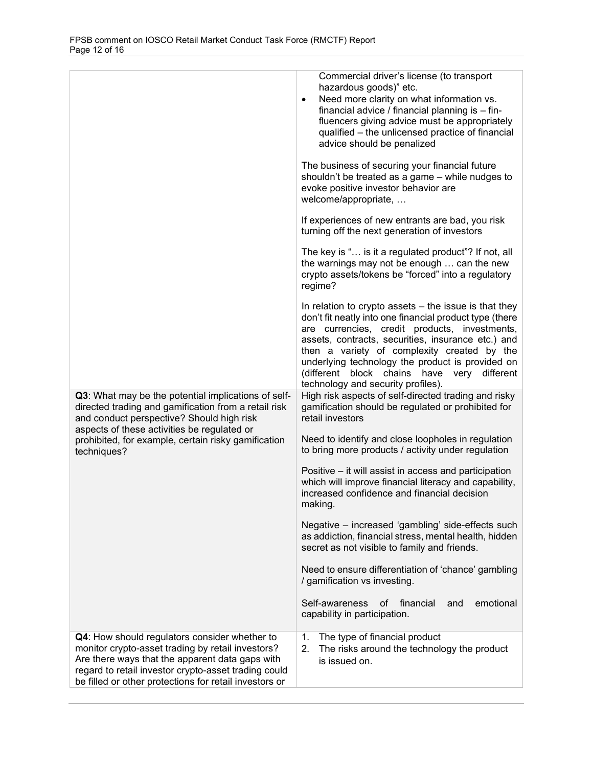|                                                                                                                                                                                                                                                                         | Commercial driver's license (to transport<br>hazardous goods)" etc.<br>Need more clarity on what information vs.<br>$\bullet$<br>financial advice / financial planning is - fin-<br>fluencers giving advice must be appropriately<br>qualified - the unlicensed practice of financial<br>advice should be penalized<br>The business of securing your financial future<br>shouldn't be treated as a game - while nudges to<br>evoke positive investor behavior are<br>welcome/appropriate,<br>If experiences of new entrants are bad, you risk<br>turning off the next generation of investors<br>The key is " is it a regulated product"? If not, all<br>the warnings may not be enough  can the new<br>crypto assets/tokens be "forced" into a regulatory<br>regime?<br>In relation to crypto assets – the issue is that they<br>don't fit neatly into one financial product type (there<br>are currencies, credit products, investments,<br>assets, contracts, securities, insurance etc.) and<br>then a variety of complexity created by the |
|-------------------------------------------------------------------------------------------------------------------------------------------------------------------------------------------------------------------------------------------------------------------------|-------------------------------------------------------------------------------------------------------------------------------------------------------------------------------------------------------------------------------------------------------------------------------------------------------------------------------------------------------------------------------------------------------------------------------------------------------------------------------------------------------------------------------------------------------------------------------------------------------------------------------------------------------------------------------------------------------------------------------------------------------------------------------------------------------------------------------------------------------------------------------------------------------------------------------------------------------------------------------------------------------------------------------------------------|
|                                                                                                                                                                                                                                                                         | underlying technology the product is provided on<br>(different block chains have very different<br>technology and security profiles).                                                                                                                                                                                                                                                                                                                                                                                                                                                                                                                                                                                                                                                                                                                                                                                                                                                                                                           |
| Q3: What may be the potential implications of self-<br>directed trading and gamification from a retail risk<br>and conduct perspective? Should high risk<br>aspects of these activities be regulated or                                                                 | High risk aspects of self-directed trading and risky<br>gamification should be regulated or prohibited for<br>retail investors                                                                                                                                                                                                                                                                                                                                                                                                                                                                                                                                                                                                                                                                                                                                                                                                                                                                                                                  |
| prohibited, for example, certain risky gamification<br>techniques?                                                                                                                                                                                                      | Need to identify and close loopholes in regulation<br>to bring more products / activity under regulation                                                                                                                                                                                                                                                                                                                                                                                                                                                                                                                                                                                                                                                                                                                                                                                                                                                                                                                                        |
|                                                                                                                                                                                                                                                                         | Positive – it will assist in access and participation<br>which will improve financial literacy and capability,<br>increased confidence and financial decision<br>making.                                                                                                                                                                                                                                                                                                                                                                                                                                                                                                                                                                                                                                                                                                                                                                                                                                                                        |
|                                                                                                                                                                                                                                                                         | Negative - increased 'gambling' side-effects such<br>as addiction, financial stress, mental health, hidden<br>secret as not visible to family and friends.                                                                                                                                                                                                                                                                                                                                                                                                                                                                                                                                                                                                                                                                                                                                                                                                                                                                                      |
|                                                                                                                                                                                                                                                                         | Need to ensure differentiation of 'chance' gambling<br>/ gamification vs investing.                                                                                                                                                                                                                                                                                                                                                                                                                                                                                                                                                                                                                                                                                                                                                                                                                                                                                                                                                             |
|                                                                                                                                                                                                                                                                         | Self-awareness<br>financial<br>emotional<br>of<br>and<br>capability in participation.                                                                                                                                                                                                                                                                                                                                                                                                                                                                                                                                                                                                                                                                                                                                                                                                                                                                                                                                                           |
| Q4: How should regulators consider whether to<br>monitor crypto-asset trading by retail investors?<br>Are there ways that the apparent data gaps with<br>regard to retail investor crypto-asset trading could<br>be filled or other protections for retail investors or | $\mathbf{1}$ .<br>The type of financial product<br>2.<br>The risks around the technology the product<br>is issued on.                                                                                                                                                                                                                                                                                                                                                                                                                                                                                                                                                                                                                                                                                                                                                                                                                                                                                                                           |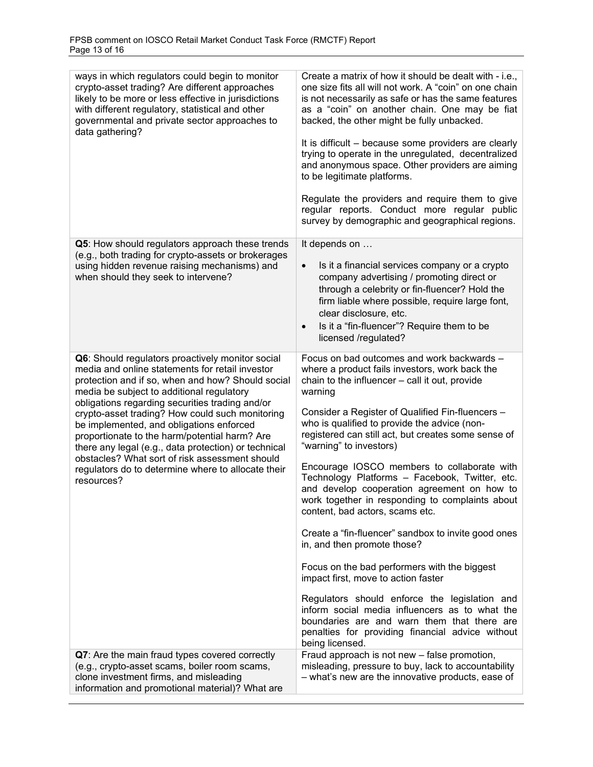| ways in which regulators could begin to monitor<br>crypto-asset trading? Are different approaches<br>likely to be more or less effective in jurisdictions<br>with different regulatory, statistical and other<br>governmental and private sector approaches to<br>data gathering?                                                                                                                                                                                                                                                                                                      | Create a matrix of how it should be dealt with - i.e.,<br>one size fits all will not work. A "coin" on one chain<br>is not necessarily as safe or has the same features<br>as a "coin" on another chain. One may be fiat<br>backed, the other might be fully unbacked.<br>It is difficult – because some providers are clearly<br>trying to operate in the unregulated, decentralized<br>and anonymous space. Other providers are aiming<br>to be legitimate platforms.<br>Regulate the providers and require them to give<br>regular reports. Conduct more regular public<br>survey by demographic and geographical regions.                                                                                                                                                                                                                                                                                                                                                               |
|----------------------------------------------------------------------------------------------------------------------------------------------------------------------------------------------------------------------------------------------------------------------------------------------------------------------------------------------------------------------------------------------------------------------------------------------------------------------------------------------------------------------------------------------------------------------------------------|---------------------------------------------------------------------------------------------------------------------------------------------------------------------------------------------------------------------------------------------------------------------------------------------------------------------------------------------------------------------------------------------------------------------------------------------------------------------------------------------------------------------------------------------------------------------------------------------------------------------------------------------------------------------------------------------------------------------------------------------------------------------------------------------------------------------------------------------------------------------------------------------------------------------------------------------------------------------------------------------|
| Q5: How should regulators approach these trends<br>(e.g., both trading for crypto-assets or brokerages<br>using hidden revenue raising mechanisms) and<br>when should they seek to intervene?                                                                                                                                                                                                                                                                                                                                                                                          | It depends on<br>Is it a financial services company or a crypto<br>$\bullet$<br>company advertising / promoting direct or<br>through a celebrity or fin-fluencer? Hold the<br>firm liable where possible, require large font,<br>clear disclosure, etc.<br>Is it a "fin-fluencer"? Require them to be<br>$\bullet$<br>licensed /regulated?                                                                                                                                                                                                                                                                                                                                                                                                                                                                                                                                                                                                                                                  |
| Q6: Should regulators proactively monitor social<br>media and online statements for retail investor<br>protection and if so, when and how? Should social<br>media be subject to additional regulatory<br>obligations regarding securities trading and/or<br>crypto-asset trading? How could such monitoring<br>be implemented, and obligations enforced<br>proportionate to the harm/potential harm? Are<br>there any legal (e.g., data protection) or technical<br>obstacles? What sort of risk assessment should<br>regulators do to determine where to allocate their<br>resources? | Focus on bad outcomes and work backwards -<br>where a product fails investors, work back the<br>chain to the influencer - call it out, provide<br>warning<br>Consider a Register of Qualified Fin-fluencers -<br>who is qualified to provide the advice (non-<br>registered can still act, but creates some sense of<br>"warning" to investors)<br>Encourage IOSCO members to collaborate with<br>Technology Platforms - Facebook, Twitter, etc.<br>and develop cooperation agreement on how to<br>work together in responding to complaints about<br>content, bad actors, scams etc.<br>Create a "fin-fluencer" sandbox to invite good ones<br>in, and then promote those?<br>Focus on the bad performers with the biggest<br>impact first, move to action faster<br>Regulators should enforce the legislation and<br>inform social media influencers as to what the<br>boundaries are and warn them that there are<br>penalties for providing financial advice without<br>being licensed. |
| Q7: Are the main fraud types covered correctly<br>(e.g., crypto-asset scams, boiler room scams,<br>clone investment firms, and misleading<br>information and promotional material)? What are                                                                                                                                                                                                                                                                                                                                                                                           | Fraud approach is not new - false promotion,<br>misleading, pressure to buy, lack to accountability<br>- what's new are the innovative products, ease of                                                                                                                                                                                                                                                                                                                                                                                                                                                                                                                                                                                                                                                                                                                                                                                                                                    |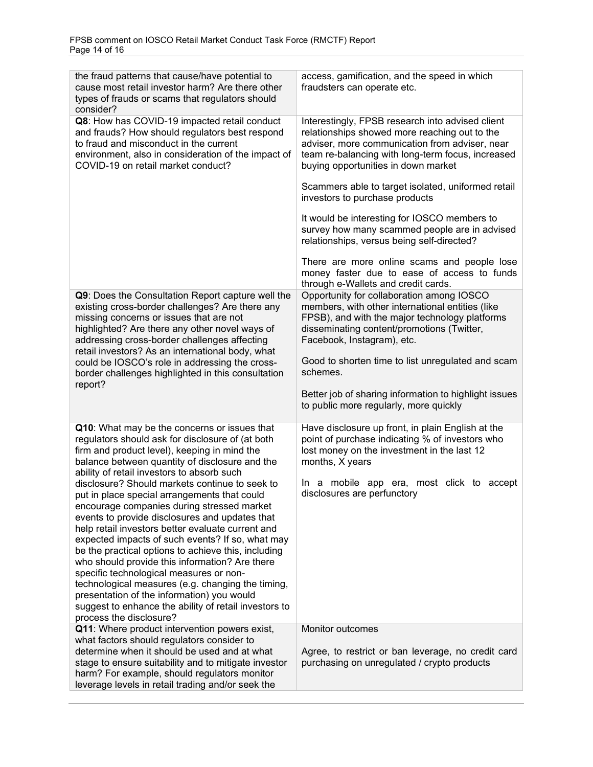| the fraud patterns that cause/have potential to<br>cause most retail investor harm? Are there other<br>types of frauds or scams that regulators should<br>consider?                                                                                                                                                                                                                                                                                                                                                                                                                                                                                                                                 | access, gamification, and the speed in which<br>fraudsters can operate etc.                                                                                                                                                                                                      |
|-----------------------------------------------------------------------------------------------------------------------------------------------------------------------------------------------------------------------------------------------------------------------------------------------------------------------------------------------------------------------------------------------------------------------------------------------------------------------------------------------------------------------------------------------------------------------------------------------------------------------------------------------------------------------------------------------------|----------------------------------------------------------------------------------------------------------------------------------------------------------------------------------------------------------------------------------------------------------------------------------|
| Q8: How has COVID-19 impacted retail conduct<br>and frauds? How should regulators best respond<br>to fraud and misconduct in the current<br>environment, also in consideration of the impact of<br>COVID-19 on retail market conduct?                                                                                                                                                                                                                                                                                                                                                                                                                                                               | Interestingly, FPSB research into advised client<br>relationships showed more reaching out to the<br>adviser, more communication from adviser, near<br>team re-balancing with long-term focus, increased<br>buying opportunities in down market                                  |
|                                                                                                                                                                                                                                                                                                                                                                                                                                                                                                                                                                                                                                                                                                     | Scammers able to target isolated, uniformed retail<br>investors to purchase products                                                                                                                                                                                             |
|                                                                                                                                                                                                                                                                                                                                                                                                                                                                                                                                                                                                                                                                                                     | It would be interesting for IOSCO members to<br>survey how many scammed people are in advised<br>relationships, versus being self-directed?                                                                                                                                      |
|                                                                                                                                                                                                                                                                                                                                                                                                                                                                                                                                                                                                                                                                                                     | There are more online scams and people lose<br>money faster due to ease of access to funds<br>through e-Wallets and credit cards.                                                                                                                                                |
| Q9: Does the Consultation Report capture well the<br>existing cross-border challenges? Are there any<br>missing concerns or issues that are not<br>highlighted? Are there any other novel ways of<br>addressing cross-border challenges affecting<br>retail investors? As an international body, what<br>could be IOSCO's role in addressing the cross-                                                                                                                                                                                                                                                                                                                                             | Opportunity for collaboration among IOSCO<br>members, with other international entities (like<br>FPSB), and with the major technology platforms<br>disseminating content/promotions (Twitter,<br>Facebook, Instagram), etc.<br>Good to shorten time to list unregulated and scam |
| border challenges highlighted in this consultation<br>report?                                                                                                                                                                                                                                                                                                                                                                                                                                                                                                                                                                                                                                       | schemes.                                                                                                                                                                                                                                                                         |
|                                                                                                                                                                                                                                                                                                                                                                                                                                                                                                                                                                                                                                                                                                     | Better job of sharing information to highlight issues<br>to public more regularly, more quickly                                                                                                                                                                                  |
| Q10: What may be the concerns or issues that<br>regulators should ask for disclosure of (at both<br>firm and product level), keeping in mind the<br>balance between quantity of disclosure and the<br>ability of retail investors to absorb such                                                                                                                                                                                                                                                                                                                                                                                                                                                    | Have disclosure up front, in plain English at the<br>point of purchase indicating % of investors who<br>lost money on the investment in the last 12<br>months, X years                                                                                                           |
| disclosure? Should markets continue to seek to<br>put in place special arrangements that could<br>encourage companies during stressed market<br>events to provide disclosures and updates that<br>help retail investors better evaluate current and<br>expected impacts of such events? If so, what may<br>be the practical options to achieve this, including<br>who should provide this information? Are there<br>specific technological measures or non-<br>technological measures (e.g. changing the timing,<br>presentation of the information) you would<br>suggest to enhance the ability of retail investors to<br>process the disclosure?<br>Q11: Where product intervention powers exist, | In a mobile app era, most click to accept<br>disclosures are perfunctory<br><b>Monitor outcomes</b>                                                                                                                                                                              |
| what factors should regulators consider to<br>determine when it should be used and at what<br>stage to ensure suitability and to mitigate investor<br>harm? For example, should regulators monitor<br>leverage levels in retail trading and/or seek the                                                                                                                                                                                                                                                                                                                                                                                                                                             | Agree, to restrict or ban leverage, no credit card<br>purchasing on unregulated / crypto products                                                                                                                                                                                |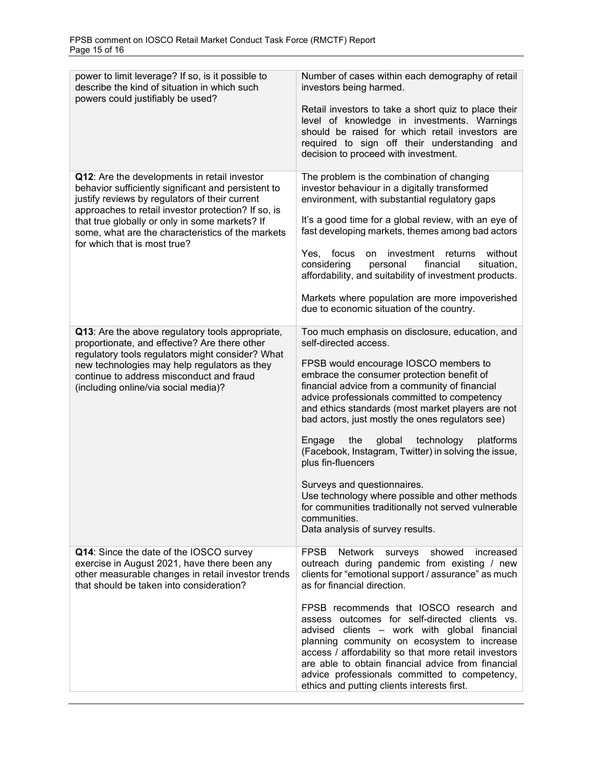| power to limit leverage? If so, is it possible to<br>describe the kind of situation in which such<br>powers could justifiably be used?                                                                                                                                                                                                              | Number of cases within each demography of retail<br>investors being harmed.<br>Retail investors to take a short quiz to place their<br>level of knowledge in investments. Warnings<br>should be raised for which retail investors are<br>required to sign off their understanding and<br>decision to proceed with investment.                                                                                                                                                                                                                                                                                                                                                                               |
|-----------------------------------------------------------------------------------------------------------------------------------------------------------------------------------------------------------------------------------------------------------------------------------------------------------------------------------------------------|-------------------------------------------------------------------------------------------------------------------------------------------------------------------------------------------------------------------------------------------------------------------------------------------------------------------------------------------------------------------------------------------------------------------------------------------------------------------------------------------------------------------------------------------------------------------------------------------------------------------------------------------------------------------------------------------------------------|
| Q12: Are the developments in retail investor<br>behavior sufficiently significant and persistent to<br>justify reviews by regulators of their current<br>approaches to retail investor protection? If so, is<br>that true globally or only in some markets? If<br>some, what are the characteristics of the markets<br>for which that is most true? | The problem is the combination of changing<br>investor behaviour in a digitally transformed<br>environment, with substantial regulatory gaps<br>It's a good time for a global review, with an eye of<br>fast developing markets, themes among bad actors<br>without<br>Yes,<br>focus<br>investment<br>returns<br>on<br>considering<br>personal<br>financial<br>situation,<br>affordability, and suitability of investment products.<br>Markets where population are more impoverished<br>due to economic situation of the country.                                                                                                                                                                          |
| Q13: Are the above regulatory tools appropriate,<br>proportionate, and effective? Are there other<br>regulatory tools regulators might consider? What<br>new technologies may help regulators as they<br>continue to address misconduct and fraud<br>(including online/via social media)?                                                           | Too much emphasis on disclosure, education, and<br>self-directed access.<br>FPSB would encourage IOSCO members to<br>embrace the consumer protection benefit of<br>financial advice from a community of financial<br>advice professionals committed to competency<br>and ethics standards (most market players are not<br>bad actors, just mostly the ones regulators see)<br>Engage<br>the<br>global<br>technology<br>platforms<br>(Facebook, Instagram, Twitter) in solving the issue,<br>plus fin-fluencers<br>Surveys and questionnaires.<br>Use technology where possible and other methods<br>for communities traditionally not served vulnerable<br>communities.<br>Data analysis of survey results. |
| Q14: Since the date of the IOSCO survey<br>exercise in August 2021, have there been any<br>other measurable changes in retail investor trends<br>that should be taken into consideration?                                                                                                                                                           | Network<br><b>FPSB</b><br>surveys showed<br>increased<br>outreach during pandemic from existing / new<br>clients for "emotional support / assurance" as much<br>as for financial direction.<br>FPSB recommends that IOSCO research and<br>assess outcomes for self-directed clients vs.<br>advised clients - work with global financial<br>planning community on ecosystem to increase<br>access / affordability so that more retail investors<br>are able to obtain financial advice from financial<br>advice professionals committed to competency,<br>ethics and putting clients interests first.                                                                                                        |